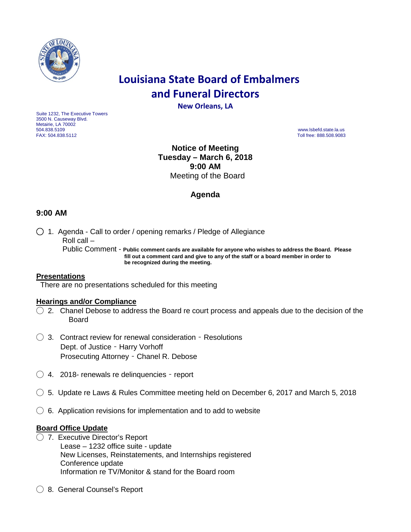

# **Louisiana State Board of Embalmers and Funeral Directors**

**New Orleans, LA**

Suite 1232, The Executive Towers 3500 N. Causeway Blvd. Metairie, LA 70002<br>504.838.5109 504.838.5109 www.lsbefd.state.la.us

Toll free: 888.508.9083

**Notice of Meeting Tuesday – March 6, 2018 9:00 AM**  Meeting of the Board

# **Agenda**

## **9:00 AM**

◯ 1. Agenda - Call to order / opening remarks / Pledge of Allegiance Roll call – Public Comment - **Public comment cards are available for anyone who wishes to address the Board. Please fill out a comment card and give to any of the staff or a board member in order to**

**be recognized during the meeting.**

## **Presentations**

There are no presentations scheduled for this meeting

## **Hearings and/or Compliance**

- $\bigcirc$  2. Chanel Debose to address the Board re court process and appeals due to the decision of the Board
- $\bigcirc$  3. Contract review for renewal consideration Resolutions Dept. of Justice – Harry Vorhoff Prosecuting Attorney – Chanel R. Debose
- $\bigcirc$  4. 2018- renewals re delinguencies report
- $\bigcirc$  5. Update re Laws & Rules Committee meeting held on December 6, 2017 and March 5, 2018
- $\bigcirc$  6. Application revisions for implementation and to add to website

## **Board Office Update**

- ◯ 7. Executive Director's Report Lease – 1232 office suite - update New Licenses, Reinstatements, and Internships registered Conference update Information re TV/Monitor & stand for the Board room
- ◯ 8. General Counsel's Report